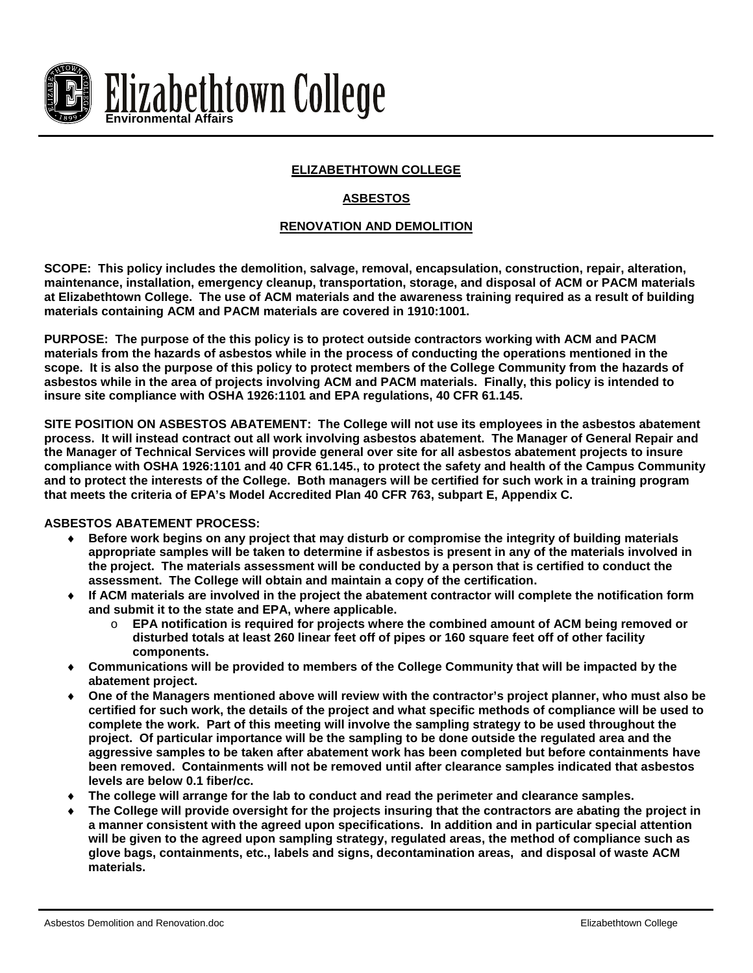

# **ELIZABETHTOWN COLLEGE**

# **ASBESTOS**

### **RENOVATION AND DEMOLITION**

**SCOPE: This policy includes the demolition, salvage, removal, encapsulation, construction, repair, alteration, maintenance, installation, emergency cleanup, transportation, storage, and disposal of ACM or PACM materials at Elizabethtown College. The use of ACM materials and the awareness training required as a result of building materials containing ACM and PACM materials are covered in 1910:1001.**

**PURPOSE: The purpose of the this policy is to protect outside contractors working with ACM and PACM materials from the hazards of asbestos while in the process of conducting the operations mentioned in the scope. It is also the purpose of this policy to protect members of the College Community from the hazards of asbestos while in the area of projects involving ACM and PACM materials. Finally, this policy is intended to insure site compliance with OSHA 1926:1101 and EPA regulations, 40 CFR 61.145.**

**SITE POSITION ON ASBESTOS ABATEMENT: The College will not use its employees in the asbestos abatement process. It will instead contract out all work involving asbestos abatement. The Manager of General Repair and the Manager of Technical Services will provide general over site for all asbestos abatement projects to insure compliance with OSHA 1926:1101 and 40 CFR 61.145., to protect the safety and health of the Campus Community and to protect the interests of the College. Both managers will be certified for such work in a training program that meets the criteria of EPA's Model Accredited Plan 40 CFR 763, subpart E, Appendix C.**

### **ASBESTOS ABATEMENT PROCESS:**

- ♦ **Before work begins on any project that may disturb or compromise the integrity of building materials appropriate samples will be taken to determine if asbestos is present in any of the materials involved in the project. The materials assessment will be conducted by a person that is certified to conduct the assessment. The College will obtain and maintain a copy of the certification.**
- ♦ **If ACM materials are involved in the project the abatement contractor will complete the notification form and submit it to the state and EPA, where applicable.**
	- o **EPA notification is required for projects where the combined amount of ACM being removed or disturbed totals at least 260 linear feet off of pipes or 160 square feet off of other facility components.**
- Communications will be provided to members of the College Community that will be impacted by the **abatement project.**
- ♦ **One of the Managers mentioned above will review with the contractor's project planner, who must also be certified for such work, the details of the project and what specific methods of compliance will be used to complete the work. Part of this meeting will involve the sampling strategy to be used throughout the project. Of particular importance will be the sampling to be done outside the regulated area and the aggressive samples to be taken after abatement work has been completed but before containments have been removed. Containments will not be removed until after clearance samples indicated that asbestos levels are below 0.1 fiber/cc.**
- The college will arrange for the lab to conduct and read the perimeter and clearance samples.
- The College will provide oversight for the projects insuring that the contractors are abating the project in **a manner consistent with the agreed upon specifications. In addition and in particular special attention will be given to the agreed upon sampling strategy, regulated areas, the method of compliance such as glove bags, containments, etc., labels and signs, decontamination areas, and disposal of waste ACM materials.**